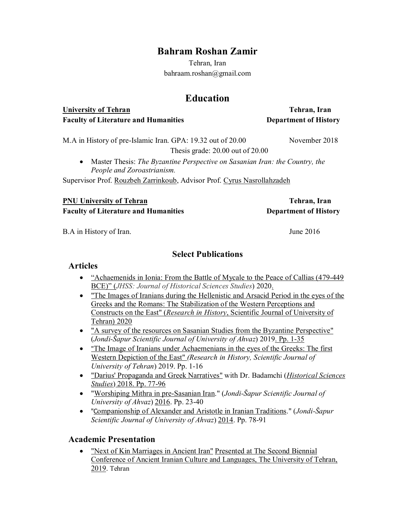# **Bahram Roshan Zamir**

Tehran, Iran bahraam.roshan@gmail.com

## **Education**

| <b>University of Tehran</b>                 |  |
|---------------------------------------------|--|
| <b>Faculty of Literature and Humanities</b> |  |

**University of Tehran Tehran, Iran Department of History** 

M.A in History of pre-Islamic Iran. GPA: 19.32 out of 20.00 November 2018 Thesis grade: 20.00 out of 20.00

 Master Thesis: *The Byzantine Perspective on Sasanian Iran: the Country, the People and Zoroastrianism.*

Supervisor Prof. Rouzbeh Zarrinkoub, Advisor Prof. Cyrus Nasrollahzadeh

# **PNU University of Tehran Tehran, Iran**

**Faculty of Literature and Humanities Department of History**

B.A in History of Iran. Solution 1. The 2016

## **Select Publications**

#### **Articles**

- "Achaemenids in Ionia: From the Battle of Mycale to the Peace of Callias (479-449 BCE)" (*JHSS: Journal of Historical Sciences Studies*) 2020.
- "The Images of Iranians during the Hellenistic and Arsacid Period in the eyes of the Greeks and the Romans: The Stabilization of the Western Perceptions and Constructs on the East" (*Research in History*, Scientific Journal of University of Tehran) 2020
- "A survey of the resources on Sasanian Studies from the Byzantine Perspective" (*Jondi-Šapur Scientific Journal of University of Ahvaz*) 2019. Pp. 1-35
- "The Image of Iranians under Achaemenians in the eyes of the Greeks: The first Western Depiction of the East" *(Research in History, Scientific Journal of University of Tehran*) 2019. Pp. 1-16
- "Darius' Propaganda and Greek Narratives" with Dr. Badamchi (*Historical Sciences Studies*) 2018. Pp. 77-96
- "Worshiping Mithra in pre-Sasanian Iran." (*Jondi-Šapur Scientific Journal of University of Ahvaz*) 2016. Pp. 23-40
- "Companionship of Alexander and Aristotle in Iranian Traditions." (*Jondi-Šapur Scientific Journal of University of Ahvaz*) 2014. Pp. 78-91

## **Academic Presentation**

 "Next of Kin Marriages in Ancient Iran" Presented at The Second Biennial Conference of Ancient Iranian Culture and Languages, The University of Tehran, 2019. Tehran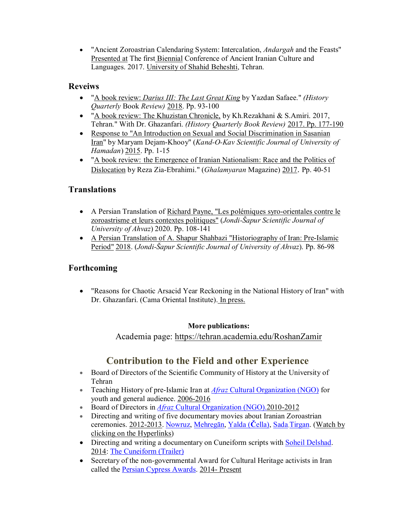"Ancient Zoroastrian Calendaring System: Intercalation, *Andargah* and the Feasts" Presented at The first Biennial Conference of Ancient Iranian Culture and Languages. 2017. University of Shahid Beheshti, Tehran.

#### **Reveiws**

- "A book review: *Darius III: The Last Great King* by Yazdan Safaee." *(History Quarterly* Book *Review)* 2018. Pp. 93-100
- "A book review: The Khuzistan Chronicle, by Kh.Rezakhani & S.Amiri. 2017, Tehran." With Dr. Ghazanfari. *(History Quarterly Book Review)* 2017. Pp. 177-190
- Response to "An Introduction on Sexual and Social Discrimination in Sasanian Iran" by Maryam Dejam-Khooy" (*Kand-O-Kav Scientific Journal of University of Hamadan*) 2015. Pp. 1-15
- "A book review: the Emergence of Iranian Nationalism: Race and the Politics of Dislocation by Reza Zia-Ebrahimi." (*Ghalamyaran* Magazine) 2017. Pp. 40-51

## **Translations**

- A Persian Translation of Richard Payne, "Les polémiques syro-orientales contre le zoroastrisme et leurs contextes politiques" (*Jondi-Šapur Scientific Journal of University of Ahvaz*) 2020. Pp. 108-141
- A Persian Translation of A. Shapur Shahbazi "Historiography of Iran: Pre-Islamic Period" 2018. (*Jondi-Šapur Scientific Journal of University of Ahvaz*). Pp. 86-98

## **Forthcoming**

 "Reasons for Chaotic Arsacid Year Reckoning in the National History of Iran" with Dr. Ghazanfari. (Cama Oriental Institute). In press.

#### **More publications:**

Academia page: https://tehran.academia.edu/RoshanZamir

# **Contribution to the Field and other Experience**

- Board of Directors of the Scientific Community of History at the University of Tehran
- Teaching History of pre-Islamic Iran at *Afraz* Cultural Organization (NGO) for youth and general audience. 2006-2016
- Board of Directors in *Afraz* Cultural Organization (NGO).2010-2012
- Directing and writing of five documentary movies about Iranian Zoroastrian ceremonies. 2012-2013. Nowruz, Mehregān, Yalda (**Č**ella), Sada,Tirgan. (Watch by clicking on the Hyperlinks)
- Directing and writing a documentary on Cuneiform scripts with Soheil Delshad. 2014: The Cuneiform (Trailer)
- Secretary of the non-governmental Award for Cultural Heritage activists in Iran called the Persian Cypress Awards. 2014- Present